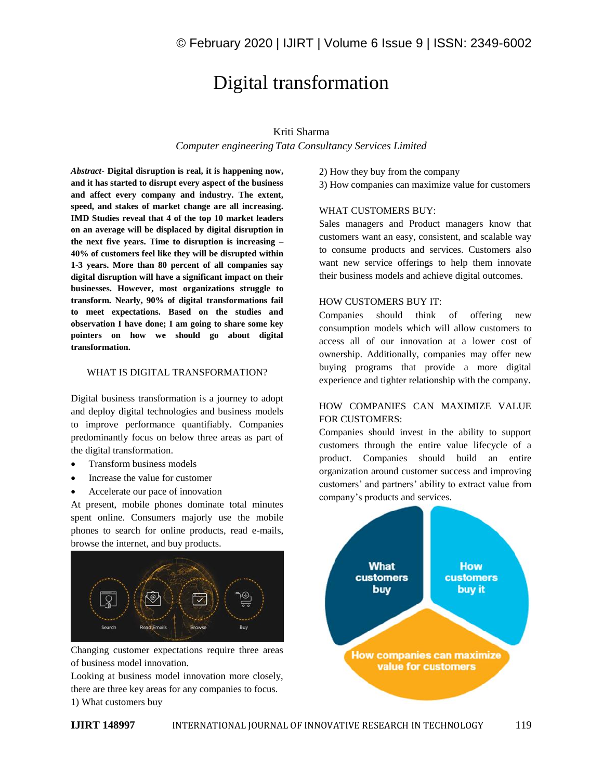# Digital transformation

# Kriti Sharma

*Computer engineering Tata Consultancy Services Limited*

*Abstract*- **Digital disruption is real, it is happening now, and it has started to disrupt every aspect of the business and affect every company and industry. The extent, speed, and stakes of market change are all increasing. IMD Studies reveal that 4 of the top 10 market leaders on an average will be displaced by digital disruption in the next five years. Time to disruption is increasing – 40% of customers feel like they will be disrupted within 1-3 years. More than 80 percent of all companies say digital disruption will have a significant impact on their businesses. However, most organizations struggle to transform. Nearly, 90% of digital transformations fail to meet expectations. Based on the studies and observation I have done; I am going to share some key pointers on how we should go about digital transformation.**

#### WHAT IS DIGITAL TRANSFORMATION?

Digital business transformation is a journey to adopt and deploy digital technologies and business models to improve performance quantifiably. Companies predominantly focus on below three areas as part of the digital transformation.

- Transform business models
- Increase the value for customer
- Accelerate our pace of innovation

At present, mobile phones dominate total minutes spent online. Consumers majorly use the mobile phones to search for online products, read e-mails, browse the internet, and buy products.



Changing customer expectations require three areas of business model innovation.

Looking at business model innovation more closely, there are three key areas for any companies to focus. 1) What customers buy

- 2) How they buy from the company
- 3) How companies can maximize value for customers

#### WHAT CUSTOMERS BUY:

Sales managers and Product managers know that customers want an easy, consistent, and scalable way to consume products and services. Customers also want new service offerings to help them innovate their business models and achieve digital outcomes.

#### HOW CUSTOMERS BUY IT:

Companies should think of offering new consumption models which will allow customers to access all of our innovation at a lower cost of ownership. Additionally, companies may offer new buying programs that provide a more digital experience and tighter relationship with the company.

# HOW COMPANIES CAN MAXIMIZE VALUE FOR CUSTOMERS:

Companies should invest in the ability to support customers through the entire value lifecycle of a product. Companies should build an entire organization around customer success and improving customers' and partners' ability to extract value from company's products and services.

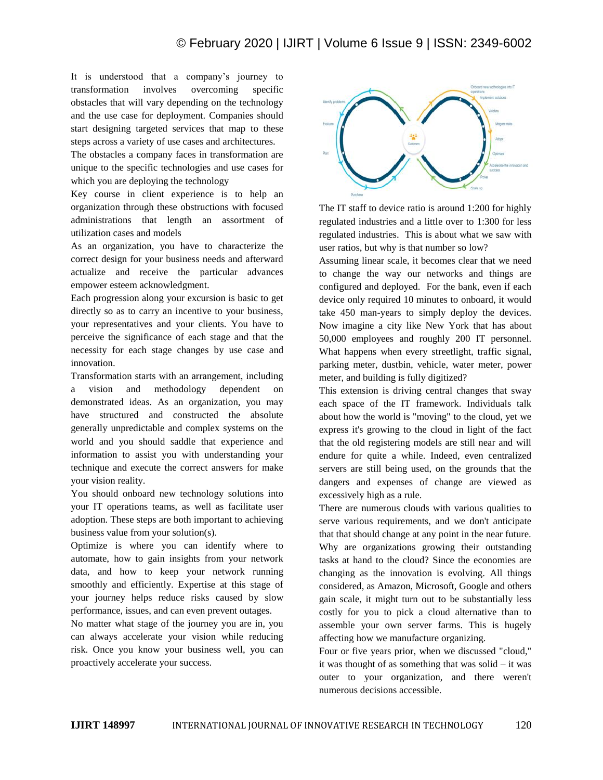It is understood that a company's journey to transformation involves overcoming specific obstacles that will vary depending on the technology and the use case for deployment. Companies should start designing targeted services that map to these steps across a variety of use cases and architectures.

The obstacles a company faces in transformation are unique to the specific technologies and use cases for which you are deploying the technology

Key course in client experience is to help an organization through these obstructions with focused administrations that length an assortment of utilization cases and models

As an organization, you have to characterize the correct design for your business needs and afterward actualize and receive the particular advances empower esteem acknowledgment.

Each progression along your excursion is basic to get directly so as to carry an incentive to your business, your representatives and your clients. You have to perceive the significance of each stage and that the necessity for each stage changes by use case and innovation.

Transformation starts with an arrangement, including a vision and methodology dependent on demonstrated ideas. As an organization, you may have structured and constructed the absolute generally unpredictable and complex systems on the world and you should saddle that experience and information to assist you with understanding your technique and execute the correct answers for make your vision reality.

You should onboard new technology solutions into your IT operations teams, as well as facilitate user adoption. These steps are both important to achieving business value from your solution(s).

Optimize is where you can identify where to automate, how to gain insights from your network data, and how to keep your network running smoothly and efficiently. Expertise at this stage of your journey helps reduce risks caused by slow performance, issues, and can even prevent outages.

No matter what stage of the journey you are in, you can always accelerate your vision while reducing risk. Once you know your business well, you can proactively accelerate your success.



The IT staff to device ratio is around 1:200 for highly regulated industries and a little over to 1:300 for less regulated industries. This is about what we saw with user ratios, but why is that number so low?

Assuming linear scale, it becomes clear that we need to change the way our networks and things are configured and deployed. For the bank, even if each device only required 10 minutes to onboard, it would take 450 man-years to simply deploy the devices. Now imagine a city like New York that has about 50,000 employees and roughly 200 IT personnel. What happens when every streetlight, traffic signal, parking meter, dustbin, vehicle, water meter, power meter, and building is fully digitized?

This extension is driving central changes that sway each space of the IT framework. Individuals talk about how the world is "moving" to the cloud, yet we express it's growing to the cloud in light of the fact that the old registering models are still near and will endure for quite a while. Indeed, even centralized servers are still being used, on the grounds that the dangers and expenses of change are viewed as excessively high as a rule.

There are numerous clouds with various qualities to serve various requirements, and we don't anticipate that that should change at any point in the near future. Why are organizations growing their outstanding tasks at hand to the cloud? Since the economies are changing as the innovation is evolving. All things considered, as Amazon, Microsoft, Google and others gain scale, it might turn out to be substantially less costly for you to pick a cloud alternative than to assemble your own server farms. This is hugely affecting how we manufacture organizing.

Four or five years prior, when we discussed "cloud," it was thought of as something that was solid – it was outer to your organization, and there weren't numerous decisions accessible.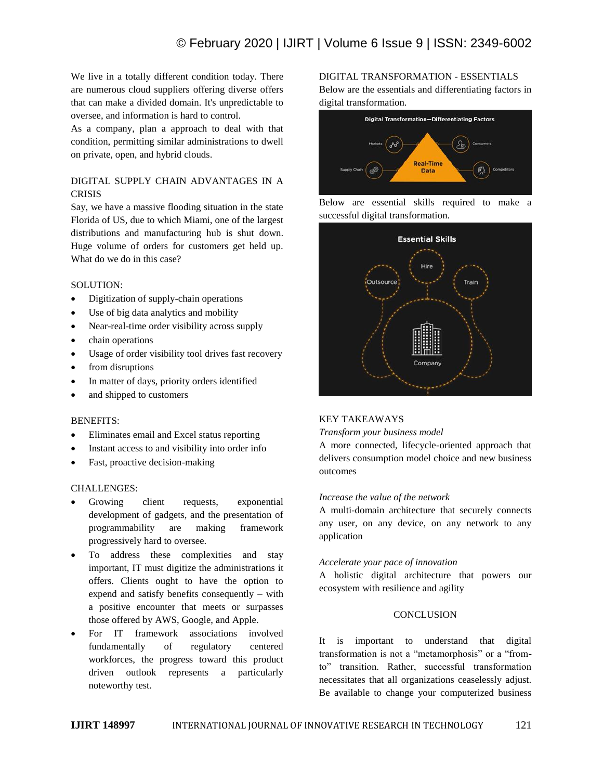We live in a totally different condition today. There are numerous cloud suppliers offering diverse offers that can make a divided domain. It's unpredictable to oversee, and information is hard to control.

As a company, plan a approach to deal with that condition, permitting similar administrations to dwell on private, open, and hybrid clouds.

# DIGITAL SUPPLY CHAIN ADVANTAGES IN A **CRISIS**

Say, we have a massive flooding situation in the state Florida of US, due to which Miami, one of the largest distributions and manufacturing hub is shut down. Huge volume of orders for customers get held up. What do we do in this case?

## SOLUTION:

- Digitization of supply-chain operations
- Use of big data analytics and mobility
- Near-real-time order visibility across supply
- chain operations
- Usage of order visibility tool drives fast recovery
- from disruptions
- In matter of days, priority orders identified
- and shipped to customers

## BENEFITS:

- Eliminates email and Excel status reporting
- Instant access to and visibility into order info
- Fast, proactive decision-making

## CHALLENGES:

- Growing client requests, exponential development of gadgets, and the presentation of programmability are making framework progressively hard to oversee.
- To address these complexities and stay important, IT must digitize the administrations it offers. Clients ought to have the option to expend and satisfy benefits consequently – with a positive encounter that meets or surpasses those offered by AWS, Google, and Apple.
- For IT framework associations involved fundamentally of regulatory centered workforces, the progress toward this product driven outlook represents a particularly noteworthy test.

DIGITAL TRANSFORMATION - ESSENTIALS Below are the essentials and differentiating factors in digital transformation.



Below are essential skills required to make a successful digital transformation.



## KEY TAKEAWAYS

#### *Transform your business model*

A more connected, lifecycle-oriented approach that delivers consumption model choice and new business outcomes

## *Increase the value of the network*

A multi-domain architecture that securely connects any user, on any device, on any network to any application

## *Accelerate your pace of innovation*

A holistic digital architecture that powers our ecosystem with resilience and agility

## **CONCLUSION**

It is important to understand that digital transformation is not a "metamorphosis" or a "fromto" transition. Rather, successful transformation necessitates that all organizations ceaselessly adjust. Be available to change your computerized business